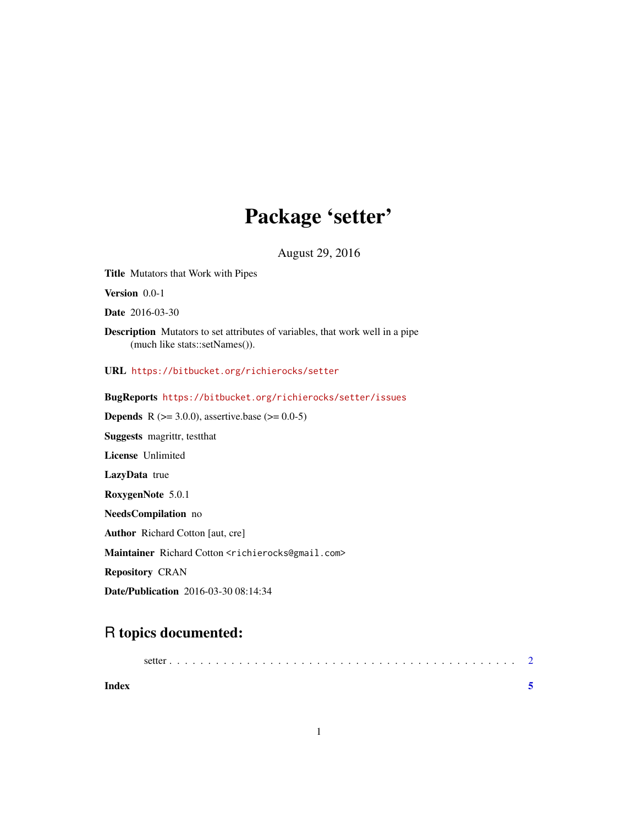## Package 'setter'

August 29, 2016

<span id="page-0-0"></span>Title Mutators that Work with Pipes

Version 0.0-1

Date 2016-03-30

Description Mutators to set attributes of variables, that work well in a pipe (much like stats::setNames()).

URL <https://bitbucket.org/richierocks/setter>

BugReports <https://bitbucket.org/richierocks/setter/issues>

**Depends** R ( $>= 3.0.0$ ), assertive.base ( $>= 0.0-5$ )

Suggests magrittr, testthat

License Unlimited

LazyData true

RoxygenNote 5.0.1

NeedsCompilation no

Author Richard Cotton [aut, cre]

Maintainer Richard Cotton <richierocks@gmail.com>

Repository CRAN

Date/Publication 2016-03-30 08:14:34

### R topics documented:

| Index |  |
|-------|--|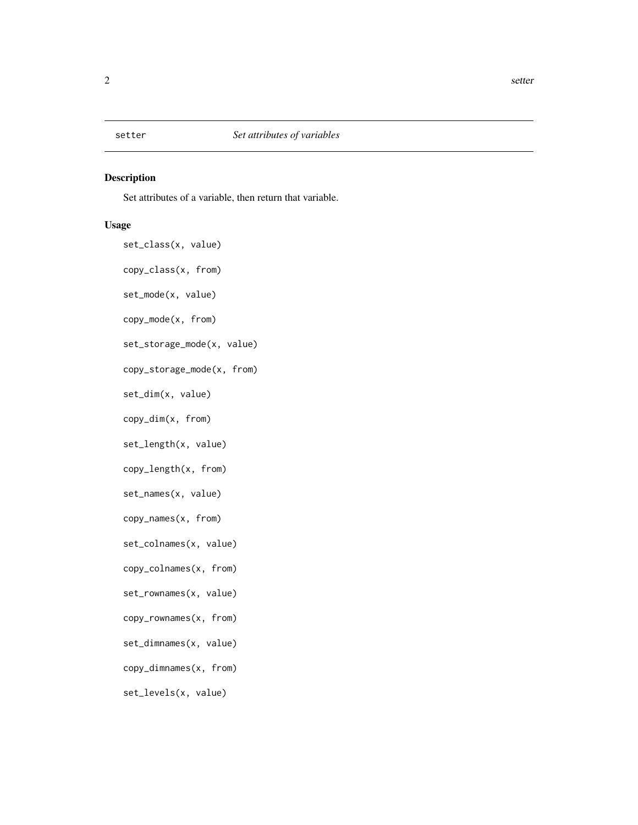<span id="page-1-0"></span>

#### Description

Set attributes of a variable, then return that variable.

#### Usage

set\_class(x, value) copy\_class(x, from) set\_mode(x, value) copy\_mode(x, from) set\_storage\_mode(x, value) copy\_storage\_mode(x, from) set\_dim(x, value) copy\_dim(x, from) set\_length(x, value) copy\_length(x, from) set\_names(x, value) copy\_names(x, from) set\_colnames(x, value) copy\_colnames(x, from) set\_rownames(x, value) copy\_rownames(x, from) set\_dimnames(x, value) copy\_dimnames(x, from) set\_levels(x, value)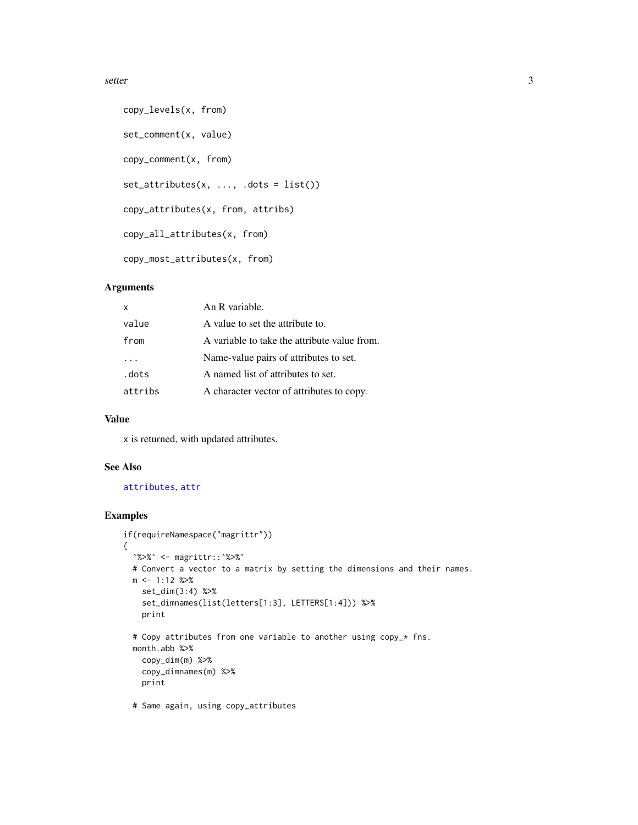#### <span id="page-2-0"></span>setter 3

```
copy_levels(x, from)
set_comment(x, value)
copy_comment(x, from)
set_attribute(s, ..., dots = list())copy_attributes(x, from, attribs)
copy_all_attributes(x, from)
copy_most_attributes(x, from)
```
#### Arguments

| $\boldsymbol{\mathsf{x}}$ | An R variable.                               |
|---------------------------|----------------------------------------------|
| value                     | A value to set the attribute to.             |
| from                      | A variable to take the attribute value from. |
|                           | Name-value pairs of attributes to set.       |
| .dots                     | A named list of attributes to set.           |
| attribs                   | A character vector of attributes to copy.    |

#### Value

x is returned, with updated attributes.

#### See Also

#### [attributes](#page-0-0), [attr](#page-0-0)

#### Examples

```
if(requireNamespace("magrittr"))
{
  `%>%` <- magrittr::`%>%`
  # Convert a vector to a matrix by setting the dimensions and their names.
  m \le -1:12 %>%
   set_dim(3:4) %>%
   set_dimnames(list(letters[1:3], LETTERS[1:4])) %>%
   print
  # Copy attributes from one variable to another using copy_* fns.
  month.abb %>%
   copy_dim(m) %>%
   copy_dimnames(m) %>%
   print
  # Same again, using copy_attributes
```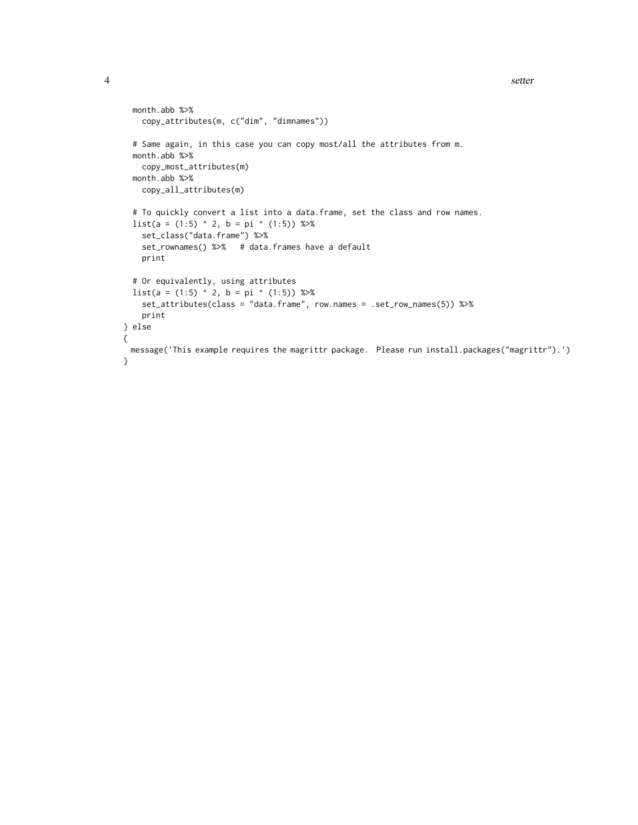```
4 setter and the setter and the setter and the setter and the setter and the setter and the setter and the set
```

```
month.abb %>%
   copy_attributes(m, c("dim", "dimnames"))
  # Same again, in this case you can copy most/all the attributes from m.
  month.abb %>%
   copy_most_attributes(m)
  month.abb %>%
   copy_all_attributes(m)
  # To quickly convert a list into a data.frame, set the class and row names.
  list(a = (1:5) ^ 2, b = pi ^ (1:5)) %>%
    set_class("data.frame") %>%
   set_rownames() %>% # data.frames have a default
   print
  # Or equivalently, using attributes
  list(a = (1:5) ^ 2, b = pi ^ (1:5)) %>%
   set_attributes(class = "data.frame", row.names = .set_row_names(5)) %>%
   print
} else
{
 message('This example requires the magrittr package. Please run install.packages("magrittr").')
}
```